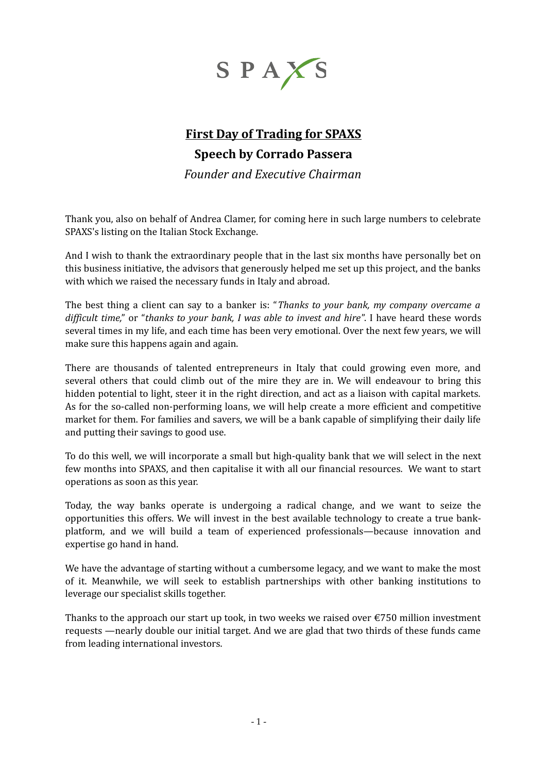

## **First Day of Trading for SPAXS Speech by Corrado Passera**

*Founder and Executive Chairman*

Thank you, also on behalf of Andrea Clamer, for coming here in such large numbers to celebrate SPAXS's listing on the Italian Stock Exchange.

And I wish to thank the extraordinary people that in the last six months have personally bet on this business initiative, the advisors that generously helped me set up this project, and the banks with which we raised the necessary funds in Italy and abroad.

The best thing a client can say to a banker is: "*Thanks to your bank, my company overcame a difficult time,*" or "*thanks to your bank, I was able to invest and hire*". I have heard these words several times in my life, and each time has been very emotional. Over the next few years, we will make sure this happens again and again.

There are thousands of talented entrepreneurs in Italy that could growing even more, and several others that could climb out of the mire they are in. We will endeavour to bring this hidden potential to light, steer it in the right direction, and act as a liaison with capital markets. As for the so-called non-performing loans, we will help create a more efficient and competitive market for them. For families and savers, we will be a bank capable of simplifying their daily life and putting their savings to good use.

To do this well, we will incorporate a small but high-quality bank that we will select in the next few months into SPAXS, and then capitalise it with all our financial resources. We want to start operations as soon as this year.

Today, the way banks operate is undergoing a radical change, and we want to seize the opportunities this offers. We will invest in the best available technology to create a true bankplatform, and we will build a team of experienced professionals—because innovation and expertise go hand in hand.

We have the advantage of starting without a cumbersome legacy, and we want to make the most of it. Meanwhile, we will seek to establish partnerships with other banking institutions to leverage our specialist skills together.

Thanks to the approach our start up took, in two weeks we raised over  $\epsilon$ 750 million investment requests —nearly double our initial target. And we are glad that two thirds of these funds came from leading international investors.